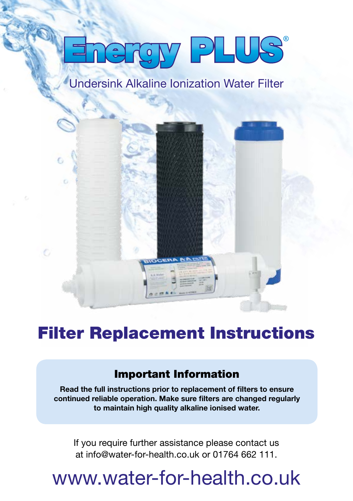# **ENGLY PLUS**

## Undersink Alkaline Ionization Water Filter



## Filter Replacement Instructions

#### Important Information

Read the full instructions prior to replacement of filters to ensure continued reliable operation. Make sure filters are changed regularly to maintain high quality alkaline ionised water.

If you require further assistance please contact us at info@water-for-health.co.uk or 01764 662 111.

# www.water-for-health.co.uk